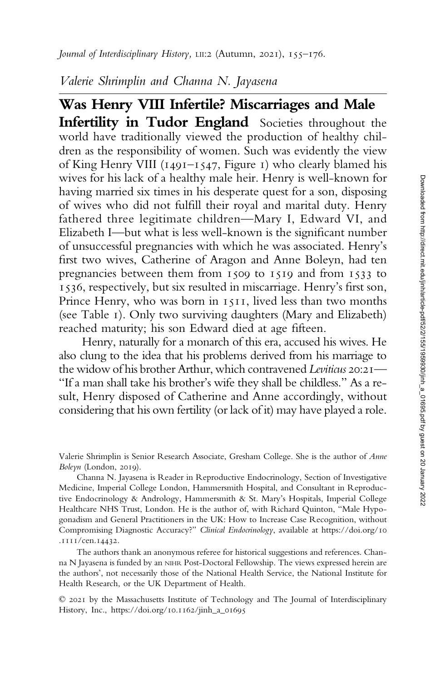Valerie Shrimplin and Channa N. Jayasena

Was Henry VIII Infertile? Miscarriages and Male Infertility in Tudor England Societies throughout the world have traditionally viewed the production of healthy children as the responsibility of women. Such was evidently the view of King Henry VIII (1491–1547, Figure 1) who clearly blamed his wives for his lack of a healthy male heir. Henry is well-known for having married six times in his desperate quest for a son, disposing of wives who did not fulfill their royal and marital duty. Henry fathered three legitimate children—Mary I, Edward VI, and Elizabeth I—but what is less well-known is the significant number of unsuccessful pregnancies with which he was associated. Henry's first two wives, Catherine of Aragon and Anne Boleyn, had ten pregnancies between them from 1509 to 1519 and from 1533 to 1536, respectively, but six resulted in miscarriage. Henry's first son, Prince Henry, who was born in 1511, lived less than two months (see Table 1). Only two surviving daughters (Mary and Elizabeth) reached maturity; his son Edward died at age fifteen.

Henry, naturally for a monarch of this era, accused his wives. He also clung to the idea that his problems derived from his marriage to the widow of his brother Arthur, which contravened Leviticus 20:21-"If a man shall take his brother's wife they shall be childless." As a result, Henry disposed of Catherine and Anne accordingly, without considering that his own fertility (or lack of it) may have played a role.

Valerie Shrimplin is Senior Research Associate, Gresham College. She is the author of Anne Boleyn (London, 2019).

Channa N. Jayasena is Reader in Reproductive Endocrinology, Section of Investigative Medicine, Imperial College London, Hammersmith Hospital, and Consultant in Reproductive Endocrinology & Andrology, Hammersmith & St. Mary's Hospitals, Imperial College Healthcare NHS Trust, London. He is the author of, with Richard Quinton, "Male Hypogonadism and General Practitioners in the UK: How to Increase Case Recognition, without Compromising Diagnostic Accuracy?" Clinical Endocrinology, available at [https://doi.org/10](https://doi.org/10.1111/cen.14432) [.1111/cen.14432.](https://doi.org/10.1111/cen.14432)

The authors thank an anonymous referee for historical suggestions and references. Channa N Jayasena is funded by an NIHR Post-Doctoral Fellowship. The views expressed herein are the authors', not necessarily those of the National Health Service, the National Institute for Health Research, or the UK Department of Health.

© 2021 by the Massachusetts Institute of Technology and The Journal of Interdisciplinary History, Inc., https://doi.org/10.1162/jinh\_a\_01695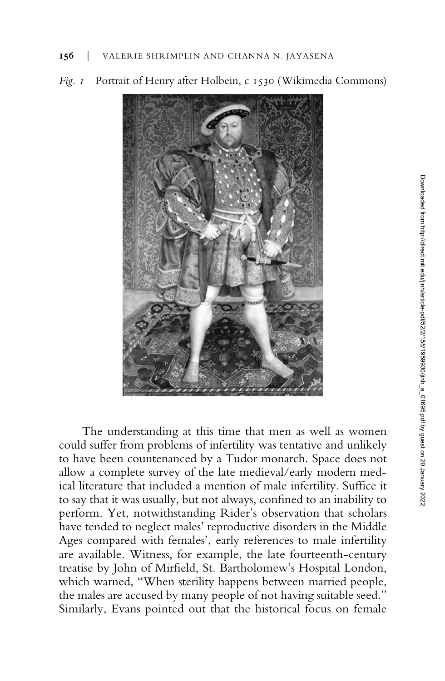

Fig. 1 Portrait of Henry after Holbein, c 1530 (Wikimedia Commons)

The understanding at this time that men as well as women could suffer from problems of infertility was tentative and unlikely to have been countenanced by a Tudor monarch. Space does not allow a complete survey of the late medieval/early modern medical literature that included a mention of male infertility. Suffice it to say that it was usually, but not always, confined to an inability to perform. Yet, notwithstanding Rider's observation that scholars have tended to neglect males' reproductive disorders in the Middle Ages compared with females', early references to male infertility are available. Witness, for example, the late fourteenth-century treatise by John of Mirfield, St. Bartholomew's Hospital London, which warned, "When sterility happens between married people, the males are accused by many people of not having suitable seed." Similarly, Evans pointed out that the historical focus on female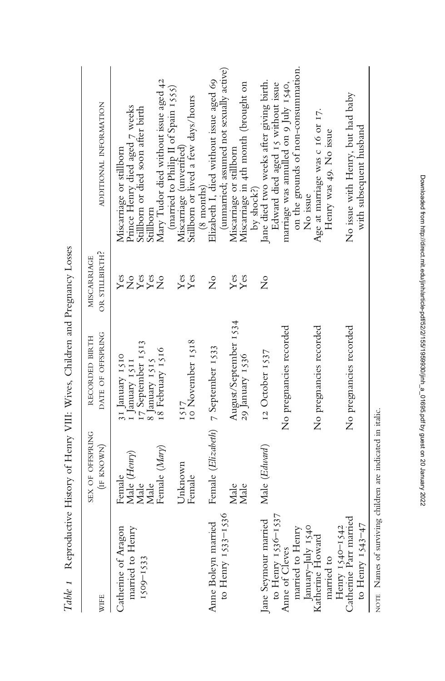|                                                                     |                                                         | The Hotel House of the Millian Strategy of the Millian Strategy of the Hotel House of the Hotel Allian Strategy of the Hotel Strategy of the Hotel Strategy of the Hotel Strategy of the Hotel Strategy of the Hotel Strategy |                                                        |                                                                                                                                                                                 |
|---------------------------------------------------------------------|---------------------------------------------------------|-------------------------------------------------------------------------------------------------------------------------------------------------------------------------------------------------------------------------------|--------------------------------------------------------|---------------------------------------------------------------------------------------------------------------------------------------------------------------------------------|
| WIFE                                                                | SEX OF OFFSPRING<br>(IF KNOWN)                          | DATE OF OFFSPRING<br>RECORDED BIRTH                                                                                                                                                                                           | OR STILLBIRTH?<br>MISCARRIAGE                          | ADDITIONAL INFORMATION                                                                                                                                                          |
| married to Henry<br>Catherine of Aragon<br>$1509 - 1533$            | Female (Mary)<br>Male (Henry)<br>Female<br>Male<br>Male | 17 September 1513<br>18 February 1516<br>31 January 1510<br>8 January 1515<br>I January 1511                                                                                                                                  | $Y$ es<br>Yes<br>Yes<br>$\frac{1}{2}$<br>$\frac{1}{2}$ | Mary Tudor died without issue aged 42<br>Prince Henry died aged 7 weeks<br>Stillborn or died soon after birth<br>Miscarriage or stillborn<br>Stillborn                          |
|                                                                     | Unknown<br>Female                                       | 10 November 1518                                                                                                                                                                                                              | Yes<br>Yes                                             | (married to Philip II of Spain 1555)<br>Stillborn or lived a few days/hours<br>Miscarriage (unverthed)                                                                          |
| to Henry 1533-1536<br>Anne Boleyn married                           | Male<br>Male                                            | August/September 1534<br>Female (Elizabeth) 7 September 1533<br>29 January 1536                                                                                                                                               | $\frac{1}{2}$<br>$Y$ es<br>$Y$ es                      | (unmarried; assumed not sexually active)<br>Elizabeth I, died without issue aged 69<br>Miscarriage in 4th month (brought on<br>Miscarriage or stillborn<br>$(8 \text{ months})$ |
| to Henry 1536-1537<br>Jane Seymour married                          | Male (Edward)                                           | 12 October 1537                                                                                                                                                                                                               | $\frac{1}{2}$                                          | Jane died two weeks after giving birth.<br>Edward died aged 15 without issue<br>by shock?)                                                                                      |
| anuary-July 1540<br>married to Henry<br>Anne of Cleves              |                                                         | No pregnancies recorded                                                                                                                                                                                                       |                                                        | on the grounds of non-consummation.<br>marriage was annulled on 9 July 1540,<br>No issue                                                                                        |
| Katherine Howard<br>married to                                      |                                                         | No pregnancies recorded                                                                                                                                                                                                       |                                                        | Age at marriage was c 16 or 17.<br>Henry was 49. No issue                                                                                                                       |
| Catherine Parr married<br>to Henry $1543-47$<br>Henry $1540 - 1542$ |                                                         | No pregnancies recorded                                                                                                                                                                                                       |                                                        | No issue with Henry, but had baby<br>with subsequent husband                                                                                                                    |
|                                                                     |                                                         |                                                                                                                                                                                                                               |                                                        |                                                                                                                                                                                 |

Table 1 Reproductive History of Henry VIII: Wives, Children and Pregnancy Losses Table 1 Reproductive History of Henry VIII: Wives, Children and Pregnancy Losses

NOTE Names of surviving children are indicated in italic. NOTE Names of surviving children are indicated in italic.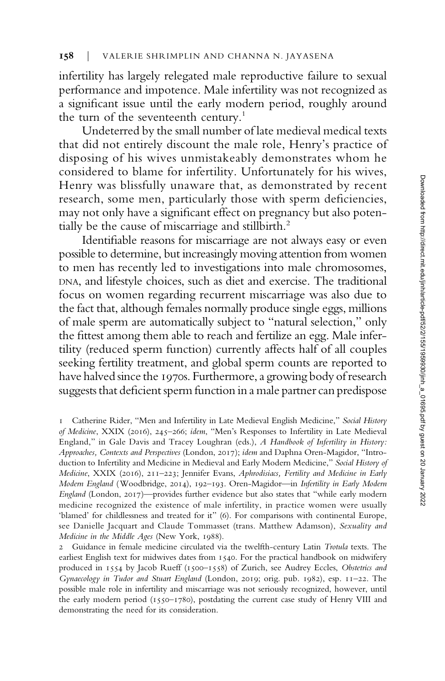infertility has largely relegated male reproductive failure to sexual performance and impotence. Male infertility was not recognized as a significant issue until the early modern period, roughly around the turn of the seventeenth century.<sup>1</sup>

Undeterred by the small number of late medieval medical texts that did not entirely discount the male role, Henry's practice of disposing of his wives unmistakeably demonstrates whom he considered to blame for infertility. Unfortunately for his wives, Henry was blissfully unaware that, as demonstrated by recent research, some men, particularly those with sperm deficiencies, may not only have a significant effect on pregnancy but also potentially be the cause of miscarriage and stillbirth.<sup>2</sup>

Identifiable reasons for miscarriage are not always easy or even possible to determine, but increasingly moving attention from women to men has recently led to investigations into male chromosomes, DNA, and lifestyle choices, such as diet and exercise. The traditional focus on women regarding recurrent miscarriage was also due to the fact that, although females normally produce single eggs, millions of male sperm are automatically subject to "natural selection," only the fittest among them able to reach and fertilize an egg. Male infertility (reduced sperm function) currently affects half of all couples seeking fertility treatment, and global sperm counts are reported to have halved since the 1970s. Furthermore, a growing body of research suggests that deficient sperm function in a male partner can predispose

<sup>1</sup> Catherine Rider, "Men and Infertility in Late Medieval English Medicine," Social History of Medicine, XXIX (2016), 245–266; idem, "Men's Responses to Infertility in Late Medieval England," in Gale Davis and Tracey Loughran (eds.), A Handbook of Infertility in History: Approaches, Contexts and Perspectives (London, 2017); idem and Daphna Oren-Magidor, "Introduction to Infertility and Medicine in Medieval and Early Modern Medicine," Social History of Medicine, XXIX (2016), 211–223; Jennifer Evans, Aphrodisiacs, Fertility and Medicine in Early Modern England (Woodbridge, 2014), 192–193. Oren-Magidor—in Infertility in Early Modern England (London, 2017)—provides further evidence but also states that "while early modern medicine recognized the existence of male infertility, in practice women were usually 'blamed' for childlessness and treated for it" (6). For comparisons with continental Europe, see Danielle Jacquart and Claude Tommasset (trans. Matthew Adamson), Sexuality and Medicine in the Middle Ages (New York, 1988).

Guidance in female medicine circulated via the twelfth-century Latin Trotula texts. The earliest English text for midwives dates from 1540. For the practical handbook on midwifery produced in 1554 by Jacob Rueff (1500–1558) of Zurich, see Audrey Eccles, Obstetrics and Gynaecology in Tudor and Stuart England (London, 2019; orig. pub. 1982), esp. 11–22. The possible male role in infertility and miscarriage was not seriously recognized, however, until the early modern period (1550–1780), postdating the current case study of Henry VIII and demonstrating the need for its consideration.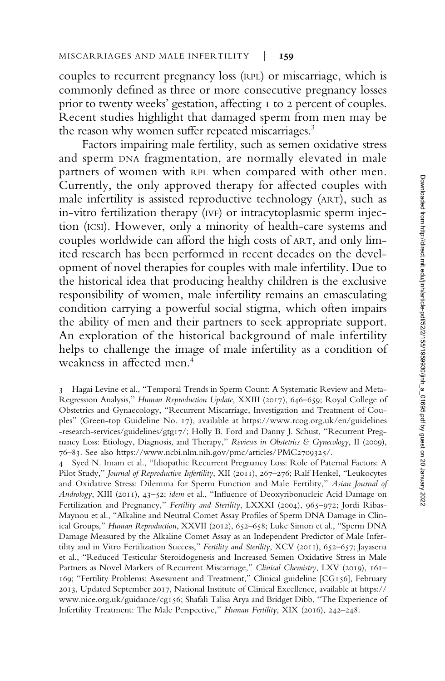couples to recurrent pregnancy loss (RPL) or miscarriage, which is commonly defined as three or more consecutive pregnancy losses prior to twenty weeks' gestation, affecting 1 to 2 percent of couples. Recent studies highlight that damaged sperm from men may be the reason why women suffer repeated miscarriages.<sup>3</sup>

Factors impairing male fertility, such as semen oxidative stress and sperm DNA fragmentation, are normally elevated in male partners of women with RPL when compared with other men. Currently, the only approved therapy for affected couples with male infertility is assisted reproductive technology (ART), such as in-vitro fertilization therapy (IVF) or intracytoplasmic sperm injection (ICSI). However, only a minority of health-care systems and couples worldwide can afford the high costs of ART, and only limited research has been performed in recent decades on the development of novel therapies for couples with male infertility. Due to the historical idea that producing healthy children is the exclusive responsibility of women, male infertility remains an emasculating condition carrying a powerful social stigma, which often impairs the ability of men and their partners to seek appropriate support. An exploration of the historical background of male infertility helps to challenge the image of male infertility as a condition of weakness in affected men.<sup>4</sup>

4 Syed N. Imam et al., "Idiopathic Recurrent Pregnancy Loss: Role of Paternal Factors: A Pilot Study," Journal of Reproductive Infertility, XII (2011), 267–276; Ralf Henkel, "Leukocytes and Oxidative Stress: Dilemma for Sperm Function and Male Fertility," Asian Journal of Andrology, XIII (2011), 43–52; idem et al., "Influence of Deoxyribonucleic Acid Damage on Fertilization and Pregnancy," Fertility and Sterility, LXXXI (2004), 965-972; Jordi Ribas-Maynou et al., "Alkaline and Neutral Comet Assay Profiles of Sperm DNA Damage in Clinical Groups," Human Reproduction, XXVII (2012), 652–658; Luke Simon et al., "Sperm DNA Damage Measured by the Alkaline Comet Assay as an Independent Predictor of Male Infertility and in Vitro Fertilization Success," Fertility and Sterility, XCV (2011), 652–657; Jayasena et al., "Reduced Testicular Steroidogenesis and Increased Semen Oxidative Stress in Male Partners as Novel Markers of Recurrent Miscarriage," Clinical Chemistry, LXV (2019), 161-169; "Fertility Problems: Assessment and Treatment," Clinical guideline [CG156], February 2013, Updated September 2017, National Institute of Clinical Excellence, available at [https://](https://www.nice.org.uk/guidance/cg156) [www.nice.org.uk/guidance/cg156;](https://www.nice.org.uk/guidance/cg156) Shafali Talisa Arya and Bridget Dibb, "The Experience of Infertility Treatment: The Male Perspective," Human Fertility, XIX (2016), 242–248.

<sup>3</sup> Hagai Levine et al., "Temporal Trends in Sperm Count: A Systematic Review and Meta-Regression Analysis," Human Reproduction Update, XXIII (2017), 646–659; Royal College of Obstetrics and Gynaecology, "Recurrent Miscarriage, Investigation and Treatment of Couples" (Green-top Guideline No. 17), available at [https://www.rcog.org.uk/en/guidelines](https://www.rcog.org.uk/en/guidelines-research-services/guidelines/gtg17/) [-research-services/guidelines/gtg17/](https://www.rcog.org.uk/en/guidelines-research-services/guidelines/gtg17/); Holly B. Ford and Danny J. Schust, "Recurrent Pregnancy Loss: Etiology, Diagnosis, and Therapy," Reviews in Obstetrics & Gynecology, II (2009), 76–83. See also<https://www.ncbi.nlm.nih.gov/pmc/articles/PMC2709325/>.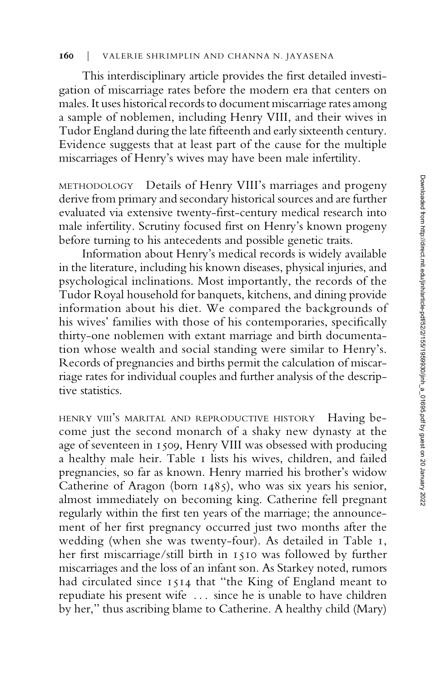## 160 | VALERIE SHRIMPLIN AND CHANNA N. JAYASENA

This interdisciplinary article provides the first detailed investigation of miscarriage rates before the modern era that centers on males. It uses historical records to document miscarriage rates among a sample of noblemen, including Henry VIII, and their wives in Tudor England during the late fifteenth and early sixteenth century. Evidence suggests that at least part of the cause for the multiple miscarriages of Henry's wives may have been male infertility.

METHODOLOGY Details of Henry VIII's marriages and progeny derive from primary and secondary historical sources and are further evaluated via extensive twenty-first-century medical research into male infertility. Scrutiny focused first on Henry's known progeny before turning to his antecedents and possible genetic traits.

Information about Henry's medical records is widely available in the literature, including his known diseases, physical injuries, and psychological inclinations. Most importantly, the records of the Tudor Royal household for banquets, kitchens, and dining provide information about his diet. We compared the backgrounds of his wives' families with those of his contemporaries, specifically thirty-one noblemen with extant marriage and birth documentation whose wealth and social standing were similar to Henry's. Records of pregnancies and births permit the calculation of miscarriage rates for individual couples and further analysis of the descriptive statistics.

HENRY VIII'S MARITAL AND REPRODUCTIVE HISTORY Having become just the second monarch of a shaky new dynasty at the age of seventeen in 1509, Henry VIII was obsessed with producing a healthy male heir. Table 1 lists his wives, children, and failed pregnancies, so far as known. Henry married his brother's widow Catherine of Aragon (born  $1485$ ), who was six years his senior, almost immediately on becoming king. Catherine fell pregnant regularly within the first ten years of the marriage; the announcement of her first pregnancy occurred just two months after the wedding (when she was twenty-four). As detailed in Table 1, her first miscarriage/still birth in 1510 was followed by further miscarriages and the loss of an infant son. As Starkey noted, rumors had circulated since 1514 that "the King of England meant to repudiate his present wife . . . since he is unable to have children by her," thus ascribing blame to Catherine. A healthy child (Mary)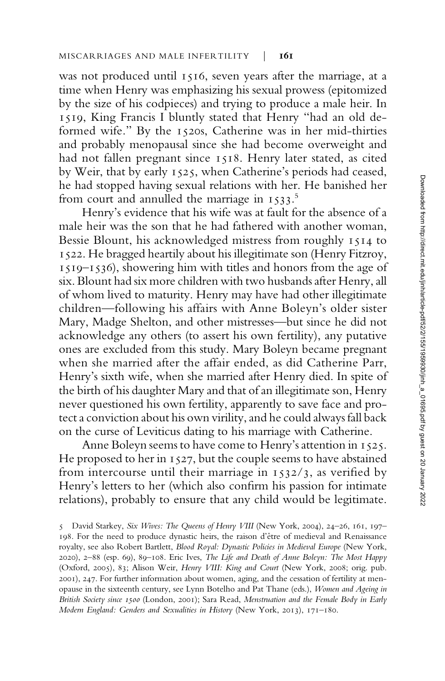was not produced until 1516, seven years after the marriage, at a time when Henry was emphasizing his sexual prowess (epitomized by the size of his codpieces) and trying to produce a male heir. In 1519, King Francis I bluntly stated that Henry "had an old deformed wife." By the 1520s, Catherine was in her mid-thirties and probably menopausal since she had become overweight and had not fallen pregnant since 1518. Henry later stated, as cited by Weir, that by early 1525, when Catherine's periods had ceased, he had stopped having sexual relations with her. He banished her from court and annulled the marriage in  $1533$ .<sup>5</sup>

Henry's evidence that his wife was at fault for the absence of a male heir was the son that he had fathered with another woman, Bessie Blount, his acknowledged mistress from roughly 1514 to 1522. He bragged heartily about his illegitimate son (Henry Fitzroy, 1519–1536), showering him with titles and honors from the age of six. Blount had six more children with two husbands after Henry, all of whom lived to maturity. Henry may have had other illegitimate children—following his affairs with Anne Boleyn's older sister Mary, Madge Shelton, and other mistresses—but since he did not acknowledge any others (to assert his own fertility), any putative ones are excluded from this study. Mary Boleyn became pregnant when she married after the affair ended, as did Catherine Parr, Henry's sixth wife, when she married after Henry died. In spite of the birth of his daughter Mary and that of an illegitimate son, Henry never questioned his own fertility, apparently to save face and protect a conviction about his own virility, and he could always fall back on the curse of Leviticus dating to his marriage with Catherine.

Anne Boleyn seems to have come to Henry's attention in 1525. He proposed to her in 1527, but the couple seems to have abstained from intercourse until their marriage in 1532/3, as verified by Henry's letters to her (which also confirm his passion for intimate relations), probably to ensure that any child would be legitimate.

<sup>5</sup> David Starkey, Six Wives: The Queens of Henry VIII (New York, 2004), 24-26, 161, 197-198. For the need to produce dynastic heirs, the raison d'être of medieval and Renaissance royalty, see also Robert Bartlett, Blood Royal: Dynastic Policies in Medieval Europe (New York, 2020), 2–88 (esp. 69), 89–108. Eric Ives, The Life and Death of Anne Boleyn: The Most Happy (Oxford, 2005), 83; Alison Weir, Henry VIII: King and Court (New York, 2008; orig. pub. 2001), 247. For further information about women, aging, and the cessation of fertility at menopause in the sixteenth century, see Lynn Botelho and Pat Thane (eds.), Women and Ageing in British Society since 1500 (London, 2001); Sara Read, Menstruation and the Female Body in Early Modern England: Genders and Sexualities in History (New York, 2013), 171–180.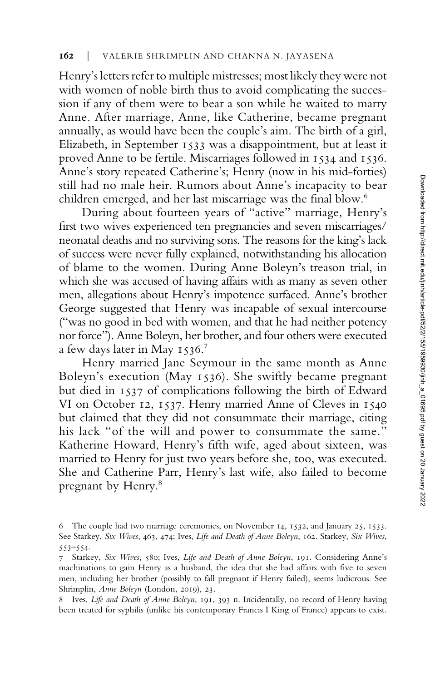Henry's letters refer to multiple mistresses; most likely they were not with women of noble birth thus to avoid complicating the succession if any of them were to bear a son while he waited to marry Anne. After marriage, Anne, like Catherine, became pregnant annually, as would have been the couple's aim. The birth of a girl, Elizabeth, in September 1533 was a disappointment, but at least it proved Anne to be fertile. Miscarriages followed in 1534 and 1536. Anne's story repeated Catherine's; Henry (now in his mid-forties) still had no male heir. Rumors about Anne's incapacity to bear children emerged, and her last miscarriage was the final blow.<sup>6</sup>

During about fourteen years of "active" marriage, Henry's first two wives experienced ten pregnancies and seven miscarriages/ neonatal deaths and no surviving sons. The reasons for the king's lack of success were never fully explained, notwithstanding his allocation of blame to the women. During Anne Boleyn's treason trial, in which she was accused of having affairs with as many as seven other men, allegations about Henry's impotence surfaced. Anne's brother George suggested that Henry was incapable of sexual intercourse ("was no good in bed with women, and that he had neither potency nor force"). Anne Boleyn, her brother, and four others were executed a few days later in May 1536.<sup>7</sup>

Henry married Jane Seymour in the same month as Anne Boleyn's execution (May 1536). She swiftly became pregnant but died in 1537 of complications following the birth of Edward VI on October 12, 1537. Henry married Anne of Cleves in 1540 but claimed that they did not consummate their marriage, citing his lack "of the will and power to consummate the same." Katherine Howard, Henry's fifth wife, aged about sixteen, was married to Henry for just two years before she, too, was executed. She and Catherine Parr, Henry's last wife, also failed to become pregnant by Henry.<sup>8</sup>

<sup>6</sup> The couple had two marriage ceremonies, on November 14, 1532, and January 25, 1533. See Starkey, Six Wives, 463, 474; Ives, Life and Death of Anne Boleyn, 162. Starkey, Six Wives, 553–554.

<sup>7</sup> Starkey, Six Wives, 580; Ives, Life and Death of Anne Boleyn, 191. Considering Anne's machinations to gain Henry as a husband, the idea that she had affairs with five to seven men, including her brother (possibly to fall pregnant if Henry failed), seems ludicrous. See Shrimplin, Anne Boleyn (London, 2019), 23.

<sup>8</sup> Ives, Life and Death of Anne Boleyn, 191, 393 n. Incidentally, no record of Henry having been treated for syphilis (unlike his contemporary Francis I King of France) appears to exist.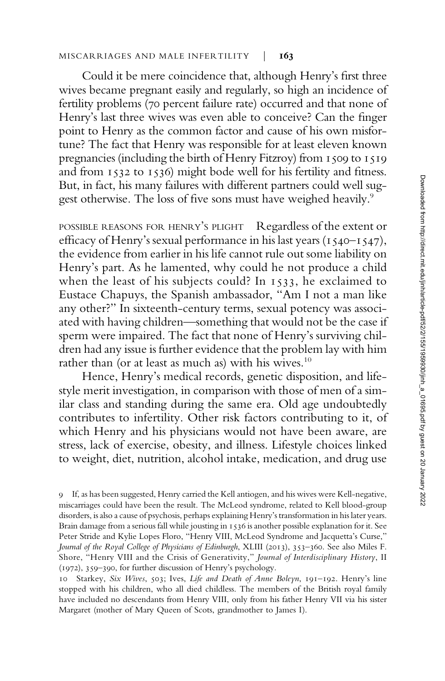### MISCARRIAGES AND MALE INFERTILITY | 163

Could it be mere coincidence that, although Henry's first three wives became pregnant easily and regularly, so high an incidence of fertility problems (70 percent failure rate) occurred and that none of Henry's last three wives was even able to conceive? Can the finger point to Henry as the common factor and cause of his own misfortune? The fact that Henry was responsible for at least eleven known pregnancies (including the birth of Henry Fitzroy) from 1509 to 1519 and from 1532 to 1536) might bode well for his fertility and fitness. But, in fact, his many failures with different partners could well suggest otherwise. The loss of five sons must have weighed heavily.<sup>9</sup>

POSSIBLE REASONS FOR HENRY'S PLIGHT Regardless of the extent or efficacy of Henry's sexual performance in his last years (1540–1547), the evidence from earlier in his life cannot rule out some liability on Henry's part. As he lamented, why could he not produce a child when the least of his subjects could? In 1533, he exclaimed to Eustace Chapuys, the Spanish ambassador, "Am I not a man like any other?" In sixteenth-century terms, sexual potency was associated with having children—something that would not be the case if sperm were impaired. The fact that none of Henry's surviving children had any issue is further evidence that the problem lay with him rather than (or at least as much as) with his wives. $10$ 

Hence, Henry's medical records, genetic disposition, and lifestyle merit investigation, in comparison with those of men of a similar class and standing during the same era. Old age undoubtedly contributes to infertility. Other risk factors contributing to it, of which Henry and his physicians would not have been aware, are stress, lack of exercise, obesity, and illness. Lifestyle choices linked to weight, diet, nutrition, alcohol intake, medication, and drug use

<sup>9</sup> If, as has been suggested, Henry carried the Kell antiogen, and his wives were Kell-negative, miscarriages could have been the result. The McLeod syndrome, related to Kell blood-group disorders, is also a cause of psychosis, perhaps explaining Henry's transformation in his later years. Brain damage from a serious fall while jousting in 1536 is another possible explanation for it. See Peter Stride and Kylie Lopes Floro, "Henry VIII, McLeod Syndrome and Jacquetta's Curse," Journal of the Royal College of Physicians of Edinburgh, XLIII (2013), 353–360. See also Miles F. Shore, "Henry VIII and the Crisis of Generativity," Journal of Interdisciplinary History, II (1972), 359–390, for further discussion of Henry's psychology.

<sup>10</sup> Starkey, Six Wives, 503; Ives, Life and Death of Anne Boleyn, 191–192. Henry's line stopped with his children, who all died childless. The members of the British royal family have included no descendants from Henry VIII, only from his father Henry VII via his sister Margaret (mother of Mary Queen of Scots, grandmother to James I).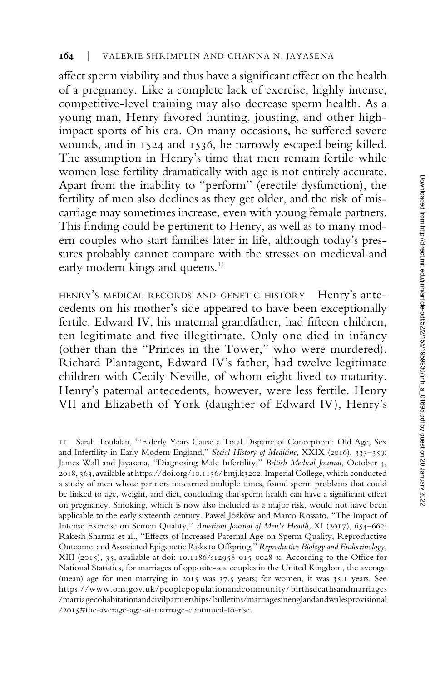affect sperm viability and thus have a significant effect on the health of a pregnancy. Like a complete lack of exercise, highly intense, competitive-level training may also decrease sperm health. As a young man, Henry favored hunting, jousting, and other highimpact sports of his era. On many occasions, he suffered severe wounds, and in 1524 and 1536, he narrowly escaped being killed. The assumption in Henry's time that men remain fertile while women lose fertility dramatically with age is not entirely accurate. Apart from the inability to "perform" (erectile dysfunction), the fertility of men also declines as they get older, and the risk of miscarriage may sometimes increase, even with young female partners. This finding could be pertinent to Henry, as well as to many modern couples who start families later in life, although today's pressures probably cannot compare with the stresses on medieval and early modern kings and queens.<sup>11</sup>

HENRY'S MEDICAL RECORDS AND GENETIC HISTORY Henry's antecedents on his mother's side appeared to have been exceptionally fertile. Edward IV, his maternal grandfather, had fifteen children, ten legitimate and five illegitimate. Only one died in infancy (other than the "Princes in the Tower," who were murdered). Richard Plantagent, Edward IV's father, had twelve legitimate children with Cecily Neville, of whom eight lived to maturity. Henry's paternal antecedents, however, were less fertile. Henry VII and Elizabeth of York (daughter of Edward IV), Henry's

11 Sarah Toulalan, "'Elderly Years Cause a Total Dispaire of Conception': Old Age, Sex and Infertility in Early Modern England," Social History of Medicine, XXIX (2016), 333–359; James Wall and Jayasena, "Diagnosing Male Infertility," British Medical Journal, October 4, 2018, 363, available at [https://doi.org/10.1136/ bmj.k3202](https://doi.org/10.1136/bmj.k3202). Imperial College, which conducted a study of men whose partners miscarried multiple times, found sperm problems that could be linked to age, weight, and diet, concluding that sperm health can have a significant effect on pregnancy. Smoking, which is now also included as a major risk, would not have been applicable to the early sixteenth century. Pawel Jóźków and Marco Rossato, "The Impact of Intense Exercise on Semen Quality," American Journal of Men's Health, XI (2017), 654–662; Rakesh Sharma et al., "Effects of Increased Paternal Age on Sperm Quality, Reproductive Outcome, and Associated Epigenetic Risks to Offspring," Reproductive Biology and Endocrinology, XIII (2015), 35, available at doi: 10.1186/s12958-015-0028-x. According to the Office for National Statistics, for marriages of opposite-sex couples in the United Kingdom, the average (mean) age for men marrying in 2015 was 37.5 years; for women, it was 35.1 years. See [https://www.ons.gov.uk/peoplepopulationandcommunity/birthsdeathsandmarriages](https://www.ons.gov.uk/peoplepopulationandcommunity/bulletins/marriagesinenglandandwalesprovisional/2015#the-average-age-at-marriage-continued-to-rise) [/marriagecohabitationandcivilpartnerships/bulletins/marriagesinenglandandwalesprovisional](https://www.ons.gov.uk/peoplepopulationandcommunity/bulletins/marriagesinenglandandwalesprovisional/2015#the-average-age-at-marriage-continued-to-rise) [/2015#the-average-age-at-marriage-continued-to-rise.](https://www.ons.gov.uk/peoplepopulationandcommunity/bulletins/marriagesinenglandandwalesprovisional/2015#the-average-age-at-marriage-continued-to-rise)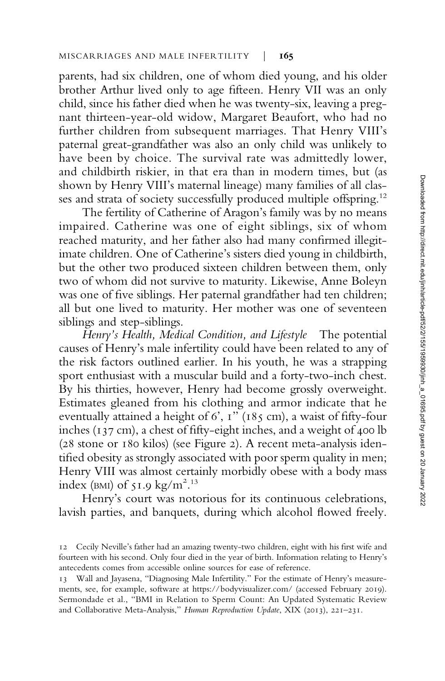parents, had six children, one of whom died young, and his older brother Arthur lived only to age fifteen. Henry VII was an only child, since his father died when he was twenty-six, leaving a pregnant thirteen-year-old widow, Margaret Beaufort, who had no further children from subsequent marriages. That Henry VIII's paternal great-grandfather was also an only child was unlikely to have been by choice. The survival rate was admittedly lower, and childbirth riskier, in that era than in modern times, but (as shown by Henry VIII's maternal lineage) many families of all classes and strata of society successfully produced multiple offspring.<sup>12</sup>

The fertility of Catherine of Aragon's family was by no means impaired. Catherine was one of eight siblings, six of whom reached maturity, and her father also had many confirmed illegitimate children. One of Catherine's sisters died young in childbirth, but the other two produced sixteen children between them, only two of whom did not survive to maturity. Likewise, Anne Boleyn was one of five siblings. Her paternal grandfather had ten children; all but one lived to maturity. Her mother was one of seventeen siblings and step-siblings.

Henry's Health, Medical Condition, and Lifestyle The potential causes of Henry's male infertility could have been related to any of the risk factors outlined earlier. In his youth, he was a strapping sport enthusiast with a muscular build and a forty-two-inch chest. By his thirties, however, Henry had become grossly overweight. Estimates gleaned from his clothing and armor indicate that he eventually attained a height of 6', 1" (185 cm), a waist of fifty-four inches (137 cm), a chest of fifty-eight inches, and a weight of 400 lb (28 stone or 180 kilos) (see Figure 2). A recent meta-analysis identified obesity as strongly associated with poor sperm quality in men; Henry VIII was almost certainly morbidly obese with a body mass index (BMI) of 51.9 kg/m<sup>2.13</sup>

Henry's court was notorious for its continuous celebrations, lavish parties, and banquets, during which alcohol flowed freely.

<sup>12</sup> Cecily Neville's father had an amazing twenty-two children, eight with his first wife and fourteen with his second. Only four died in the year of birth. Information relating to Henry's antecedents comes from accessible online sources for ease of reference.

<sup>13</sup> Wall and Jayasena, "Diagnosing Male Infertility." For the estimate of Henry's measurements, see, for example, software at [https://bodyvisualizer.com/](http://bodyvisualizer.com/) (accessed February 2019). Sermondade et al., "BMI in Relation to Sperm Count: An Updated Systematic Review and Collaborative Meta-Analysis," Human Reproduction Update, XIX (2013), 221–231.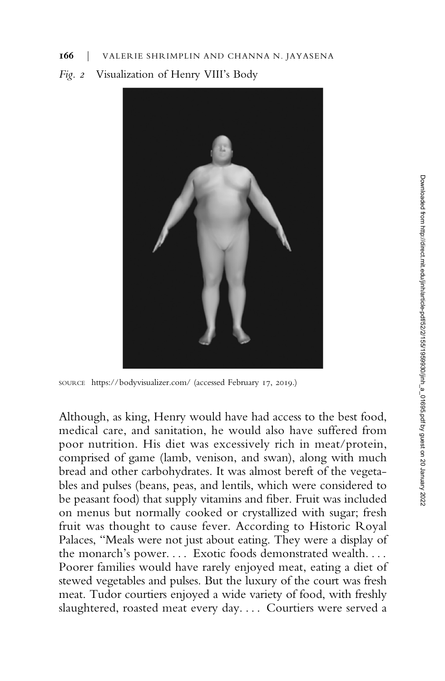## 166 | VALERIE SHRIMPLIN AND CHANNA N. JAYASENA

# Fig. 2 Visualization of Henry VIII's Body



SOURCE [https://bodyvisualizer.com/](http://bodyvisualizer.com/) (accessed February 17, 2019.)

Although, as king, Henry would have had access to the best food, medical care, and sanitation, he would also have suffered from poor nutrition. His diet was excessively rich in meat/protein, comprised of game (lamb, venison, and swan), along with much bread and other carbohydrates. It was almost bereft of the vegetables and pulses (beans, peas, and lentils, which were considered to be peasant food) that supply vitamins and fiber. Fruit was included on menus but normally cooked or crystallized with sugar; fresh fruit was thought to cause fever. According to Historic Royal Palaces, "Meals were not just about eating. They were a display of the monarch's power.... Exotic foods demonstrated wealth.... Poorer families would have rarely enjoyed meat, eating a diet of stewed vegetables and pulses. But the luxury of the court was fresh meat. Tudor courtiers enjoyed a wide variety of food, with freshly slaughtered, roasted meat every day. . . . Courtiers were served a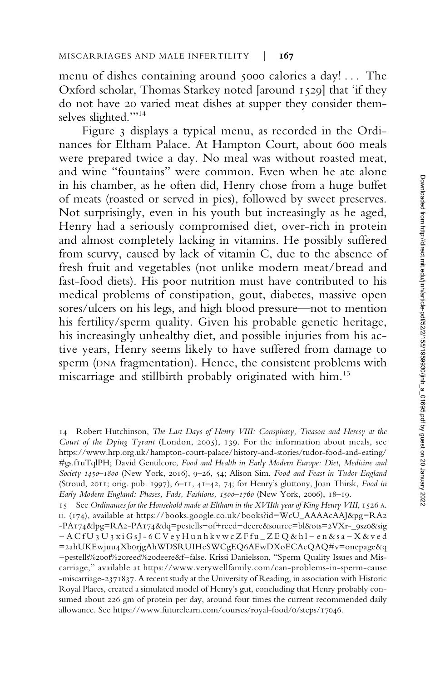menu of dishes containing around 5000 calories a day! . . . The Oxford scholar, Thomas Starkey noted [around 1529] that 'if they do not have 20 varied meat dishes at supper they consider themselves slighted.""<sup>14</sup>

Figure 3 displays a typical menu, as recorded in the Ordinances for Eltham Palace. At Hampton Court, about 600 meals were prepared twice a day. No meal was without roasted meat, and wine "fountains" were common. Even when he ate alone in his chamber, as he often did, Henry chose from a huge buffet of meats (roasted or served in pies), followed by sweet preserves. Not surprisingly, even in his youth but increasingly as he aged, Henry had a seriously compromised diet, over-rich in protein and almost completely lacking in vitamins. He possibly suffered from scurvy, caused by lack of vitamin C, due to the absence of fresh fruit and vegetables (not unlike modern meat/bread and fast-food diets). His poor nutrition must have contributed to his medical problems of constipation, gout, diabetes, massive open sores/ulcers on his legs, and high blood pressure—not to mention his fertility/sperm quality. Given his probable genetic heritage, his increasingly unhealthy diet, and possible injuries from his active years, Henry seems likely to have suffered from damage to sperm (DNA fragmentation). Hence, the consistent problems with miscarriage and stillbirth probably originated with him.<sup>15</sup>

<sup>14</sup> Robert Hutchinson, The Last Days of Henry VIII: Conspiracy, Treason and Heresy at the Court of the Dying Tyrant (London, 2005), 139. For the information about meals, see [https://www.hrp.org.uk/hampton-court-palace/history-and-stories/tudor-food-and-eating/](https://www.hrp.org.uk/hampton-court-palace/history-and-stories/tudor-food-and-eating/#gs.f1uTqlPH) [#gs.f1uTqlPH](https://www.hrp.org.uk/hampton-court-palace/history-and-stories/tudor-food-and-eating/#gs.f1uTqlPH); David Gentilcore, Food and Health in Early Modern Europe: Diet, Medicine and Society 1450–1800 (New York, 2016), 9–26, 54; Alison Sim, Food and Feast in Tudor England (Stroud, 2011; orig. pub. 1997), 6–11, 41–42, 74; for Henry's gluttony, Joan Thirsk, Food in Early Modern England: Phases, Fads, Fashions, 1500–1760 (New York, 2006), 18–19.

<sup>15</sup> See Ordinances for the Household made at Eltham in the XVIIth year of King Henry VIII, 1526 A. D. (174), available at [https://books.google.co.uk/books?id=WcU\\_AAAAcAAJ&pg=RA2](https://books.google.co.uk/books?id=WcU_AAAAcAAJ&pg=RA2-PA174&lpg=RA2-PA174&dq=pestells+of+reed+deere&source=bl&ots=2VXr-_9sz0&sig=ACfU3U3xiGsJ-6CVeyHunhkvwcZFfu_ZEQ&hl=en&sa=X&ved=2ahUKEwjuu4Xb0rjgAhWDSRUIHeSWCgEQ6AEwDXoECAcQAQ#v=onepage&q=pestells%20of%20reed%20deere&f=false) [-PA174&lpg=RA2-PA174&dq=pestells+of+reed+deere&source=bl&ots=2VXr-\\_9sz0&sig](https://books.google.co.uk/books?id=WcU_AAAAcAAJ&pg=RA2-PA174&lpg=RA2-PA174&dq=pestells+of+reed+deere&source=bl&ots=2VXr-_9sz0&sig=ACfU3U3xiGsJ-6CVeyHunhkvwcZFfu_ZEQ&hl=en&sa=X&ved=2ahUKEwjuu4Xb0rjgAhWDSRUIHeSWCgEQ6AEwDXoECAcQAQ#v=onepage&q=pestells%20of%20reed%20deere&f=false) [=ACfU3U3xiGsJ-6CVeyHunhkvwc](https://books.google.co.uk/books?id=WcU_AAAAcAAJ&pg=RA2-PA174&lpg=RA2-PA174&dq=pestells+of+reed+deere&source=bl&ots=2VXr-_9sz0&sig=ACfU3U3xiGsJ-6CVeyHunhkvwcZFfu_ZEQ&hl=en&sa=X&ved=2ahUKEwjuu4Xb0rjgAhWDSRUIHeSWCgEQ6AEwDXoECAcQAQ#v=onepage&q=pestells%20of%20reed%20deere&f=false) ZFfu\_ZEQ&hl=en&sa=X&ved [=2ahUKEwjuu4Xb0rjgAhWDSRUIHeSWCgEQ6AEwDXoECAcQAQ#v=onepage&q](https://books.google.co.uk/books?id=WcU_AAAAcAAJ&pg=RA2-PA174&lpg=RA2-PA174&dq=pestells+of+reed+deere&source=bl&ots=2VXr-_9sz0&sig=ACfU3U3xiGsJ-6CVeyHunhkvwcZFfu_ZEQ&hl=en&sa=X&ved=2ahUKEwjuu4Xb0rjgAhWDSRUIHeSWCgEQ6AEwDXoECAcQAQ#v=onepage&q=pestells%20of%20reed%20deere&f=false) [=pestells%20of%20reed%20deere&f=false.](https://books.google.co.uk/books?id=WcU_AAAAcAAJ&pg=RA2-PA174&lpg=RA2-PA174&dq=pestells+of+reed+deere&source=bl&ots=2VXr-_9sz0&sig=ACfU3U3xiGsJ-6CVeyHunhkvwcZFfu_ZEQ&hl=en&sa=X&ved=2ahUKEwjuu4Xb0rjgAhWDSRUIHeSWCgEQ6AEwDXoECAcQAQ#v=onepage&q=pestells%20of%20reed%20deere&f=false) Krissi Danielsson, "Sperm Quality Issues and Miscarriage," available at [https://www.verywellfamily.com/can-problems-in-sperm-cause](https://www.verywellfamily.com/can-problems-in-sperm-cause-miscarriage-2371837) [-miscarriage-2371837.](https://www.verywellfamily.com/can-problems-in-sperm-cause-miscarriage-2371837) A recent study at the University of Reading, in association with Historic Royal Places, created a simulated model of Henry's gut, concluding that Henry probably consumed about 226 gm of protein per day, around four times the current recommended daily allowance. See<https://www.futurelearn.com/courses/royal-food/0/steps/17046>.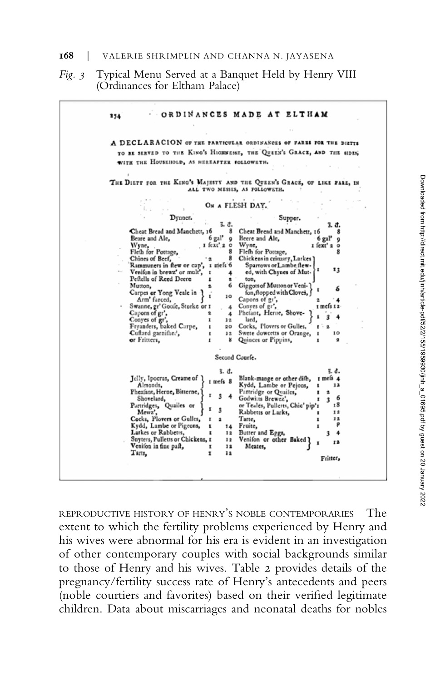#### 168 | VALERIE SHRIMPLIN AND CHANNA N. JAYASENA

## Fig. 3 Typical Menu Served at a Banquet Held by Henry VIII (Ordinances for Eltham Palace)

|                                                                      | A DECLARACION OF THE PARTICULAR ORDINANCES OF FARES FOR THE DIRTTS       |
|----------------------------------------------------------------------|--------------------------------------------------------------------------|
|                                                                      | TO BE SERVED TO THE KING'S HIGHNESSE, THE QUEEN'S GRACE, AND THE SIDES,  |
| WITH THE HOUSEHOLD, AS HEREAFTER FOLLOWETH.                          |                                                                          |
|                                                                      | THE DIETT FOR THE KING'S MAJESTY AND THE QUEEN'S GRACE, OF LIKE FARE, IN |
|                                                                      | ALL TWO MESSES, AS FOLLOWETH.                                            |
|                                                                      | ON A FLESH DAY.                                                          |
| Dynner.                                                              | Supper.                                                                  |
| Cheat Bread and Manchett, 16                                         | š. đ.<br>3. đ.<br>8<br>Cheat Bread and Manchett, 16                      |
| 6 gal'<br>Beare and Ale,                                             | Beere and Ale,<br>6 gal'<br>9<br>9                                       |
| I fext' 2 0<br>Wyne,                                                 | Wyne,<br>I fext' 2 0                                                     |
| Fleth for Pottage,                                                   | 8<br>Fleth for Pottage,                                                  |
| Chines of Beef,                                                      | 8<br>Chickens in crimary, Larkes)                                        |
| Rammuners in flew or cap', 1 mels 6<br>Venifon in brewz' or mult', I | Sparrows or Lambe flew-<br>13<br>ed, with Chynes of Mut-                 |
| Pettells of Reed Deere<br>1                                          | 2<br>ton,                                                                |
| Mutton,<br>2                                                         | Giggots of Mutton or Veni-<br>6                                          |
| Carpes or Yong Veale in                                              | fon, flopped with Cloves,<br>10                                          |
| Arm' farced,                                                         | Capons of gr',                                                           |
| Swanne, gr' Goole, Storke or I<br>$\overline{\mathbf{z}}$            | Conyes of gr.<br>I mels 12<br>4                                          |
| Capons of gr',<br>Conves of gr',<br>ı                                | 4 Phefant, Herne, Show<br>lard,<br>12                                    |
| Fryanders, baked Carpe,<br>1                                         | Cocks, Plovers or Gulles,<br>20                                          |
| Cuftard garnifhed,<br>1                                              | 12 Swete dowcetts or Orange,<br>10<br>п                                  |
| or Fritters,<br>1                                                    | ៵<br>Quinces or Pippins,<br>$\overline{\mathbf{z}}$                      |
|                                                                      | Second Courfe.                                                           |
|                                                                      | š. đ.<br>š. d.                                                           |
| Jelly, Ipocras, Creame of<br>I mefs 8                                | Blank-mange or other difh,<br>$r$ mels $4$                               |
| Almonds.<br>Pheafant, Herne, Bitterne,                               | Kydd, Lambe or Pejons,<br>12<br>1<br>Partridge or Quailes,<br>2          |
| Shovelard,                                                           | 6<br>Godwitts Brewez',<br>3                                              |
| Partridges, Quailes or                                               | or Teales, Pulletts, Chic' pip's<br>18                                   |
| 3<br>Mewz',                                                          | Rabbetts or Larks,<br>12                                                 |
| Cocks, Plovers or Gulles,<br>z<br>$\overline{\mathbf{a}}$            | Tarte,<br>12<br>₽                                                        |
| Kydd, Lambe or Pigeons,<br>1<br>Larkes or Rabbetts,                  | 14<br>Fruite,                                                            |
| Snyters, Pulletts or Chickens, 1                                     | Butter and Eggs,<br>12<br>3<br>12 Venifon or other Baked                 |
| Venifon in fine paft,<br>1                                           | 12<br>12<br>Meates,                                                      |
| Tarts,<br>ı                                                          | 12                                                                       |
|                                                                      | Fritter,                                                                 |

REPRODUCTIVE HISTORY OF HENRY'S NOBLE CONTEMPORARIES The extent to which the fertility problems experienced by Henry and his wives were abnormal for his era is evident in an investigation of other contemporary couples with social backgrounds similar to those of Henry and his wives. Table 2 provides details of the pregnancy/fertility success rate of Henry's antecedents and peers (noble courtiers and favorites) based on their verified legitimate children. Data about miscarriages and neonatal deaths for nobles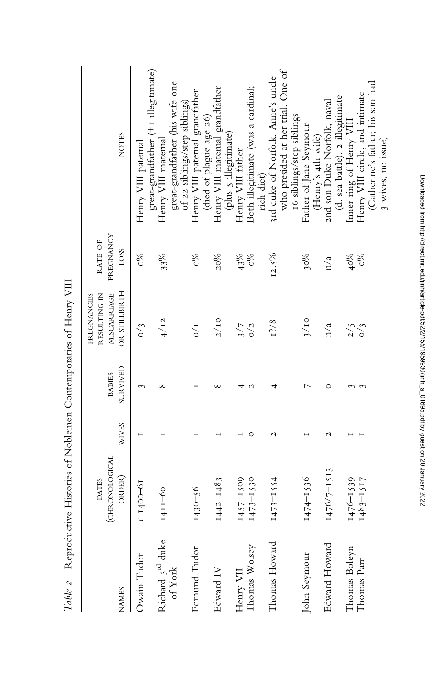|                               | The strain of the contract of the contract of the contract of the contract of the contract of the contract of the contract of the contract of the contract of the contract of the contract of the contract of the contract of |              |                           |                                                             |                              |                                                                                               |
|-------------------------------|-------------------------------------------------------------------------------------------------------------------------------------------------------------------------------------------------------------------------------|--------------|---------------------------|-------------------------------------------------------------|------------------------------|-----------------------------------------------------------------------------------------------|
| <b>NAMES</b>                  | (CHRONOLOGICAL<br>ORDER)<br><b>DATES</b>                                                                                                                                                                                      | <b>WIVES</b> | SURVIVED<br><b>BABIES</b> | OR STILLBIRTH<br>RESULTING IN<br>PREGNANCIES<br>MISCARRIAGE | PREGNANCY<br>RATE OF<br>LOSS | <b>NOTES</b>                                                                                  |
| Owain Tudor                   | $C$ 1400-61                                                                                                                                                                                                                   |              | $\sim$                    | $\frac{1}{2}$                                               | 9%                           | Henry VIII paternal                                                                           |
| Richard $3rd$ duke<br>of York | 1411-60                                                                                                                                                                                                                       |              | ∞                         | 4/12                                                        | 33%                          | great-grandfather (+1 illegitimate)<br>great-grandfather (his wife one<br>Henry VIII maternal |
| Edmund Tudor                  | $1430 - 56$                                                                                                                                                                                                                   |              |                           | $\frac{1}{2}$                                               | %0                           | Henry VIII paternal grandfather<br>of 22 siblings/step siblings)<br>(died of plague age 26)   |
| Edward IV                     | $1442 - 1483$                                                                                                                                                                                                                 |              | ∞                         | $2/10$                                                      | 20%                          | Henry VIII maternal grandfather                                                               |
| Thomas Wolsey<br>Henry VII    | $1457 - 1509$                                                                                                                                                                                                                 | $\circ$      | $\mathcal{C}$             | $3/7$<br>$0/2$                                              | 43%<br>$\frac{6}{20}$        | (plus 5 illegitimate)<br>Henry VIII father                                                    |
|                               | $1473 - 1530$                                                                                                                                                                                                                 |              |                           |                                                             |                              | Both illegitimate (was a cardinal;<br>rich diet)                                              |
| Thomas Howard                 | $1473 - 1554$                                                                                                                                                                                                                 | N            |                           | 12/8                                                        | 12.5%                        | who presided at her trial. One of<br>3rd duke of Norfolk. Anne's uncle                        |
| John Seymour                  | 1474-1536                                                                                                                                                                                                                     |              | ⊳                         | 3/10                                                        | $30\%$                       | 16 siblings/step siblings<br>Father of Jane Seymour                                           |
| Edward Howard                 | 1476/7-1513                                                                                                                                                                                                                   | N            | $\circ$                   | n/a                                                         | n/a                          | 2nd son Duke Norfolk, naval<br>(Henry's 4th wife)                                             |
| Thomas Boleyn                 | $1476 - 1539$                                                                                                                                                                                                                 |              |                           | 2/5                                                         | 40%                          | (d. sea battle). 2 illegitimate<br>Inner ring of Henry VIII                                   |
| Thomas Parr                   | $1483 - 1517$                                                                                                                                                                                                                 |              |                           | $\sim$ 3                                                    | $\frac{6}{6}$                | (Catherine's father; his son had<br>Henry VIII circle, and intimate                           |
|                               |                                                                                                                                                                                                                               |              |                           |                                                             |                              | 3 wives, no issue)                                                                            |

Table 2 Reproductive Histories of Noblemen Contemporaries of Henry VIII Table 2 Reproductive Histories of Noblemen Contemporaries of Henry VIII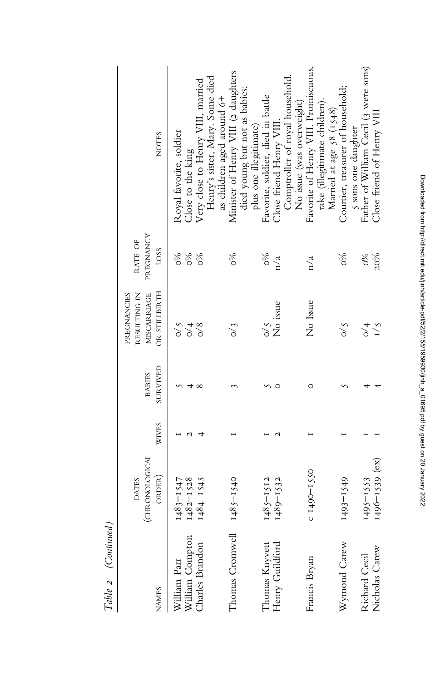| $ $ $\sim$ $\sim$ $\sim$ $\sim$ $/$<br>$-$ 2010 $-$ |                                                 |              |                           |                                                             |                                  |                                                                                                                           |
|-----------------------------------------------------|-------------------------------------------------|--------------|---------------------------|-------------------------------------------------------------|----------------------------------|---------------------------------------------------------------------------------------------------------------------------|
| <b>NAMES</b>                                        | (CHRONOLOGICAL<br>ORDER)<br><b>DATES</b>        | <b>WIVES</b> | SURVIVED<br><b>BABIES</b> | OR STILLBIRTH<br>RESULTING IN<br>MISCARRIAGE<br>PREGNANCIES | PREGNANCY<br>RATE OF<br>LOSS     | <b>NOTES</b>                                                                                                              |
| William Parr<br>William Compton<br>Charles Brandon  | $1483 - 1547$<br>$1482 - 1528$<br>$1484 - 1545$ | ч            |                           | $\zeta/0$<br>$\frac{4}{\sqrt{4}}$<br>$\sim 8$               | $\%$<br>$\delta_{\rm 0}$<br>$\%$ | Henry's sister, Mary. Some died<br>Very close to Henry VIII, married<br>Royal favorite, soldier<br>Close to the king      |
| Thomas Cromwell                                     | $1485 - 1540$                                   |              |                           | $\frac{3}{2}$                                               | $\delta$                         | Minister of Henry VIII (2 daughters<br>died young but not as babies;<br>as children aged around 6+                        |
| Thomas Knyvett<br>Henry Guildford                   | $1489 - 1532$<br>$1485 - 1512$                  |              |                           | No issue<br>$\zeta$ /0                                      | $\frac{6}{6}$<br>n/a             | Comptroller of royal household<br>Favorite, soldier, died in battle<br>Close friend Henry VIII.<br>plus one illegitimate) |
| Francis Bryan                                       | $C$ <sub>149</sub> $O-I$ 550                    |              | O                         | No Issue                                                    | n/a                              | Favorite of Henry VIII. Promiscuous,<br>rake (illegitimate children).<br>No issue (was overweight)                        |
| Wymond Carew                                        | 1493-1549                                       |              |                           | $\frac{5}{10}$                                              | $\frac{6}{20}$                   | Courtier, treasurer of household;<br>Married at age 58 (1548)                                                             |
| Nicholas Carew<br>Richard Cecil                     | $1496 - 1539$ (ex)<br>$1495 - 1553$             |              |                           | I/5<br>$\frac{4}{\sqrt{4}}$                                 | $\frac{6}{20}$<br>20%            | Father of William Cecil (3 were sons)<br>Close friend of Henry VIII<br>s sons one daughter                                |

Table 2 (Continued) Table 2 (Continued)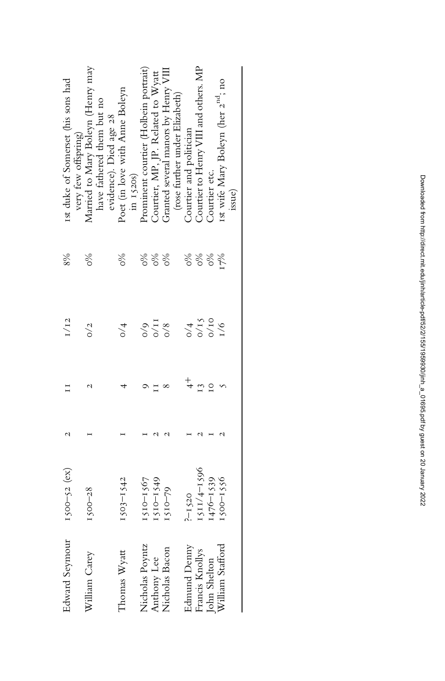| <b>Edward Seymour</b>                                               | $1500 - 52$ (ex) |                | I/I2                                            | 8%               | Ist duke of Somerset (his sons had                       |
|---------------------------------------------------------------------|------------------|----------------|-------------------------------------------------|------------------|----------------------------------------------------------|
| William Carey                                                       | $1500 - 28$      |                | $\frac{2}{2}$                                   | ৡ                | Married to Mary Boleyn (Henry may<br>very few offspring) |
|                                                                     |                  |                |                                                 |                  | have fathered them but no                                |
|                                                                     |                  |                |                                                 |                  | evidence). Died age 28                                   |
| Thomas Wyatt                                                        | $1503 - 1542$    |                | $\frac{4}{\sqrt{2}}$                            | 86               | Poet (in love with Anne Boleyn                           |
|                                                                     |                  |                |                                                 |                  | in 1520s)                                                |
| Nicholas Poyntz<br>Anthony Lee<br>Nicholas Bacon                    | $1510 - 1567$    |                |                                                 | 86               | rominent courtier (Holbein portrait)                     |
|                                                                     | ISIO-1549        |                | $\frac{8}{9}$<br>$\frac{1}{2}$                  | $\delta^{\circ}$ | Courtier, MP, JP. Related to Wyatt                       |
|                                                                     | $1510 - 79$      |                |                                                 | 86               | Granted several manors by Henry VII.                     |
|                                                                     |                  |                |                                                 |                  | (rose further under Elizabeth)                           |
|                                                                     | $2-1520$         |                |                                                 | %                | Courtier and politician                                  |
| Edmund Denny<br>Francis Knollys<br>John Shelton<br>William Stafford | 1511/4-1596      | 13             | $\frac{0}{4}$<br>$\frac{1}{2}$<br>$\frac{1}{2}$ | $\delta^{\circ}$ | Courtier to Henry VIII and others. MP                    |
|                                                                     | $1476 - 1539$    | $\overline{c}$ |                                                 | $\%$             | Courtier etc.                                            |
|                                                                     | 1500-1556        |                | $\frac{9}{10}$                                  | 17%              | 1st wife Mary Boleyn (her 2 <sup>nd</sup> ; no           |
|                                                                     |                  |                |                                                 |                  | issue)                                                   |
|                                                                     |                  |                |                                                 |                  |                                                          |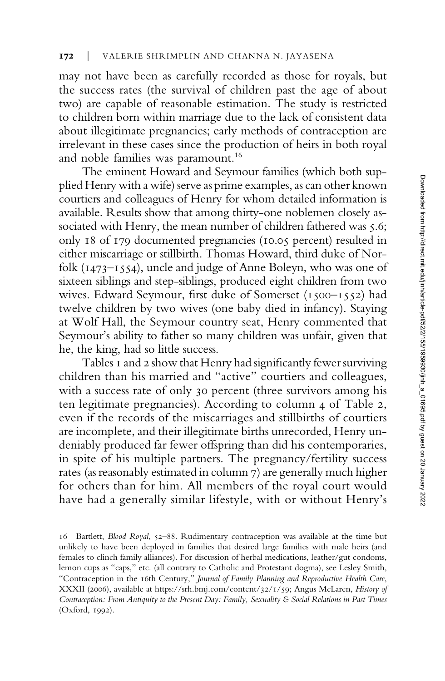may not have been as carefully recorded as those for royals, but the success rates (the survival of children past the age of about two) are capable of reasonable estimation. The study is restricted to children born within marriage due to the lack of consistent data about illegitimate pregnancies; early methods of contraception are irrelevant in these cases since the production of heirs in both royal and noble families was paramount.<sup>16</sup>

The eminent Howard and Seymour families (which both supplied Henry with a wife) serve as prime examples, as can other known courtiers and colleagues of Henry for whom detailed information is available. Results show that among thirty-one noblemen closely associated with Henry, the mean number of children fathered was 5.6; only 18 of 179 documented pregnancies (10.05 percent) resulted in either miscarriage or stillbirth. Thomas Howard, third duke of Norfolk (1473–1554), uncle and judge of Anne Boleyn, who was one of sixteen siblings and step-siblings, produced eight children from two wives. Edward Seymour, first duke of Somerset (1500–1552) had twelve children by two wives (one baby died in infancy). Staying at Wolf Hall, the Seymour country seat, Henry commented that Seymour's ability to father so many children was unfair, given that he, the king, had so little success.

Tables 1 and 2 show that Henry had significantly fewer surviving children than his married and "active" courtiers and colleagues, with a success rate of only 30 percent (three survivors among his ten legitimate pregnancies). According to column 4 of Table 2, even if the records of the miscarriages and stillbirths of courtiers are incomplete, and their illegitimate births unrecorded, Henry undeniably produced far fewer offspring than did his contemporaries, in spite of his multiple partners. The pregnancy/fertility success rates (as reasonably estimated in column 7) are generally much higher for others than for him. All members of the royal court would have had a generally similar lifestyle, with or without Henry's

<sup>16</sup> Bartlett, Blood Royal, 52–88. Rudimentary contraception was available at the time but unlikely to have been deployed in families that desired large families with male heirs (and females to clinch family alliances). For discussion of herbal medications, leather/gut condoms, lemon cups as "caps," etc. (all contrary to Catholic and Protestant dogma), see Lesley Smith, "Contraception in the 16th Century," Journal of Family Planning and Reproductive Health Care, XXXII (2006), available at<https://srh.bmj.com/content/32/1/59>; Angus McLaren, History of Contraception: From Antiquity to the Present Day: Family, Sexuality & Social Relations in Past Times (Oxford, 1992).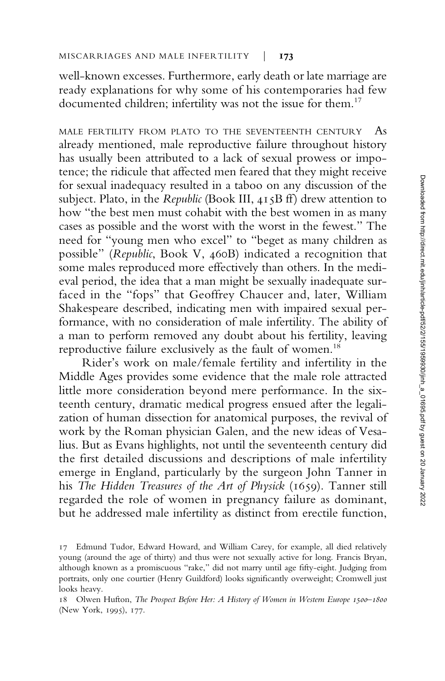well-known excesses. Furthermore, early death or late marriage are ready explanations for why some of his contemporaries had few documented children; infertility was not the issue for them.<sup>17</sup>

MALE FERTILITY FROM PLATO TO THE SEVENTEENTH CENTURY As already mentioned, male reproductive failure throughout history has usually been attributed to a lack of sexual prowess or impotence; the ridicule that affected men feared that they might receive for sexual inadequacy resulted in a taboo on any discussion of the subject. Plato, in the Republic (Book III, 415B ff) drew attention to how "the best men must cohabit with the best women in as many cases as possible and the worst with the worst in the fewest." The need for "young men who excel" to "beget as many children as possible" (Republic, Book V, 460B) indicated a recognition that some males reproduced more effectively than others. In the medieval period, the idea that a man might be sexually inadequate surfaced in the "fops" that Geoffrey Chaucer and, later, William Shakespeare described, indicating men with impaired sexual performance, with no consideration of male infertility. The ability of a man to perform removed any doubt about his fertility, leaving reproductive failure exclusively as the fault of women.<sup>18</sup>

Rider's work on male/female fertility and infertility in the Middle Ages provides some evidence that the male role attracted little more consideration beyond mere performance. In the sixteenth century, dramatic medical progress ensued after the legalization of human dissection for anatomical purposes, the revival of work by the Roman physician Galen, and the new ideas of Vesalius. But as Evans highlights, not until the seventeenth century did the first detailed discussions and descriptions of male infertility emerge in England, particularly by the surgeon John Tanner in his The Hidden Treasures of the Art of Physick (1659). Tanner still regarded the role of women in pregnancy failure as dominant, but he addressed male infertility as distinct from erectile function,

<sup>17</sup> Edmund Tudor, Edward Howard, and William Carey, for example, all died relatively young (around the age of thirty) and thus were not sexually active for long. Francis Bryan, although known as a promiscuous "rake," did not marry until age fifty-eight. Judging from portraits, only one courtier (Henry Guildford) looks significantly overweight; Cromwell just looks heavy.

<sup>18</sup> Olwen Hufton, The Prospect Before Her: A History of Women in Western Europe 1500–1800 (New York, 1995), 177.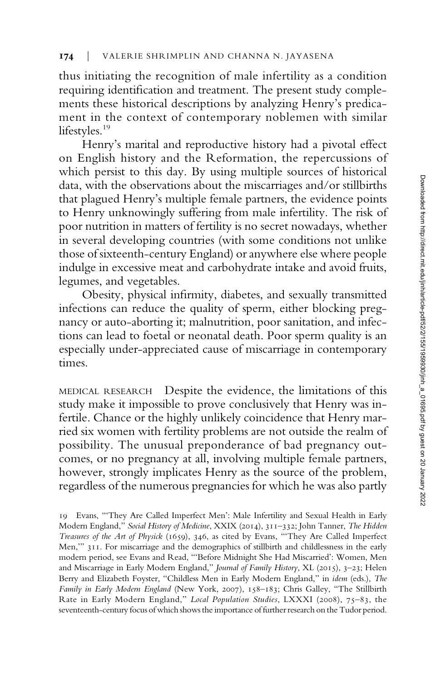thus initiating the recognition of male infertility as a condition requiring identification and treatment. The present study complements these historical descriptions by analyzing Henry's predicament in the context of contemporary noblemen with similar lifestyles.<sup>19</sup>

Henry's marital and reproductive history had a pivotal effect on English history and the Reformation, the repercussions of which persist to this day. By using multiple sources of historical data, with the observations about the miscarriages and/or stillbirths that plagued Henry's multiple female partners, the evidence points to Henry unknowingly suffering from male infertility. The risk of poor nutrition in matters of fertility is no secret nowadays, whether in several developing countries (with some conditions not unlike those of sixteenth-century England) or anywhere else where people indulge in excessive meat and carbohydrate intake and avoid fruits, legumes, and vegetables.

Obesity, physical infirmity, diabetes, and sexually transmitted infections can reduce the quality of sperm, either blocking pregnancy or auto-aborting it; malnutrition, poor sanitation, and infections can lead to foetal or neonatal death. Poor sperm quality is an especially under-appreciated cause of miscarriage in contemporary times.

MEDICAL RESEARCH Despite the evidence, the limitations of this study make it impossible to prove conclusively that Henry was infertile. Chance or the highly unlikely coincidence that Henry married six women with fertility problems are not outside the realm of possibility. The unusual preponderance of bad pregnancy outcomes, or no pregnancy at all, involving multiple female partners, however, strongly implicates Henry as the source of the problem, regardless of the numerous pregnancies for which he was also partly

<sup>19</sup> Evans, "'They Are Called Imperfect Men': Male Infertility and Sexual Health in Early Modern England," Social History of Medicine, XXIX (2014), 311–332; John Tanner, The Hidden Treasures of the Art of Physick (1659), 346, as cited by Evans, "'They Are Called Imperfect Men,'" 311. For miscarriage and the demographics of stillbirth and childlessness in the early modern period, see Evans and Read, "'Before Midnight She Had Miscarried': Women, Men and Miscarriage in Early Modern England," Journal of Family History, XL (2015), 3-23; Helen Berry and Elizabeth Foyster, "Childless Men in Early Modern England," in idem (eds.), The Family in Early Modern England (New York, 2007), 158–183; Chris Galley, "The Stillbirth Rate in Early Modern England," Local Population Studies, LXXXI (2008), 75–83, the seventeenth-century focus of which shows the importance of further research on the Tudor period.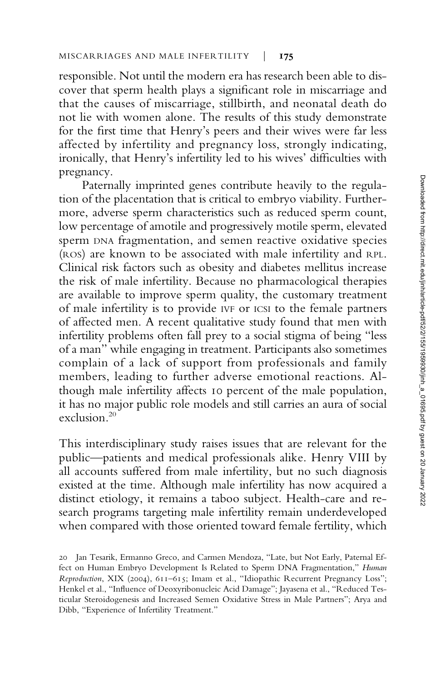responsible. Not until the modern era has research been able to discover that sperm health plays a significant role in miscarriage and that the causes of miscarriage, stillbirth, and neonatal death do not lie with women alone. The results of this study demonstrate for the first time that Henry's peers and their wives were far less affected by infertility and pregnancy loss, strongly indicating, ironically, that Henry's infertility led to his wives' difficulties with pregnancy.

Paternally imprinted genes contribute heavily to the regulation of the placentation that is critical to embryo viability. Furthermore, adverse sperm characteristics such as reduced sperm count, low percentage of amotile and progressively motile sperm, elevated sperm DNA fragmentation, and semen reactive oxidative species (ROS) are known to be associated with male infertility and RPL. Clinical risk factors such as obesity and diabetes mellitus increase the risk of male infertility. Because no pharmacological therapies are available to improve sperm quality, the customary treatment of male infertility is to provide IVF or ICSI to the female partners of affected men. A recent qualitative study found that men with infertility problems often fall prey to a social stigma of being "less of a man" while engaging in treatment. Participants also sometimes complain of a lack of support from professionals and family members, leading to further adverse emotional reactions. Although male infertility affects 10 percent of the male population, it has no major public role models and still carries an aura of social exclusion.<sup>20</sup>

This interdisciplinary study raises issues that are relevant for the public—patients and medical professionals alike. Henry VIII by all accounts suffered from male infertility, but no such diagnosis existed at the time. Although male infertility has now acquired a distinct etiology, it remains a taboo subject. Health-care and research programs targeting male infertility remain underdeveloped when compared with those oriented toward female fertility, which

<sup>20</sup> Jan Tesarik, Ermanno Greco, and Carmen Mendoza, "Late, but Not Early, Paternal Effect on Human Embryo Development Is Related to Sperm DNA Fragmentation," Human Reproduction, XIX (2004), 611–615; Imam et al., "Idiopathic Recurrent Pregnancy Loss"; Henkel et al., "Influence of Deoxyribonucleic Acid Damage"; Jayasena et al., "Reduced Testicular Steroidogenesis and Increased Semen Oxidative Stress in Male Partners"; Arya and Dibb, "Experience of Infertility Treatment."